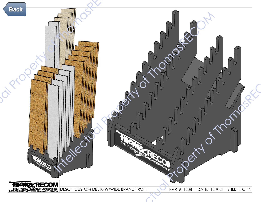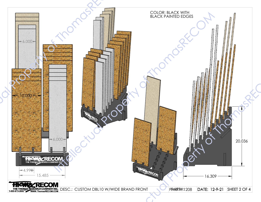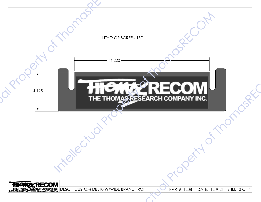